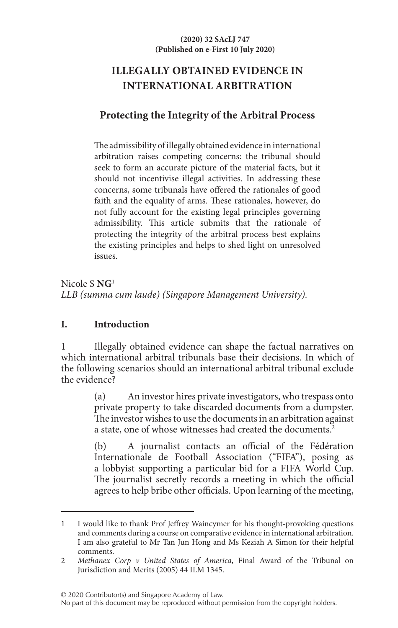# **ILLEGALLY OBTAINED EVIDENCE IN INTERNATIONAL ARBITRATION**

# **Protecting the Integrity of the Arbitral Process**

The admissibility of illegally obtained evidence in international arbitration raises competing concerns: the tribunal should seek to form an accurate picture of the material facts, but it should not incentivise illegal activities. In addressing these concerns, some tribunals have offered the rationales of good faith and the equality of arms. These rationales, however, do not fully account for the existing legal principles governing admissibility. This article submits that the rationale of protecting the integrity of the arbitral process best explains the existing principles and helps to shed light on unresolved issues.

Nicole S **NG**<sup>1</sup> *LLB (summa cum laude) (Singapore Management University).*

# **I. Introduction**

1 Illegally obtained evidence can shape the factual narratives on which international arbitral tribunals base their decisions. In which of the following scenarios should an international arbitral tribunal exclude the evidence?

> (a) An investor hires private investigators, who trespass onto private property to take discarded documents from a dumpster. The investor wishes to use the documents in an arbitration against a state, one of whose witnesses had created the documents.<sup>2</sup>

> (b) A journalist contacts an official of the Fédération Internationale de Football Association ("FIFA"), posing as a lobbyist supporting a particular bid for a FIFA World Cup. The journalist secretly records a meeting in which the official agrees to help bribe other officials. Upon learning of the meeting,

<sup>1</sup> I would like to thank Prof Jeffrey Waincymer for his thought-provoking questions and comments during a course on comparative evidence in international arbitration. I am also grateful to Mr Tan Jun Hong and Ms Keziah A Simon for their helpful comments.

<sup>2</sup> *Methanex Corp v United States of America*, Final Award of the Tribunal on Jurisdiction and Merits (2005) 44 ILM 1345.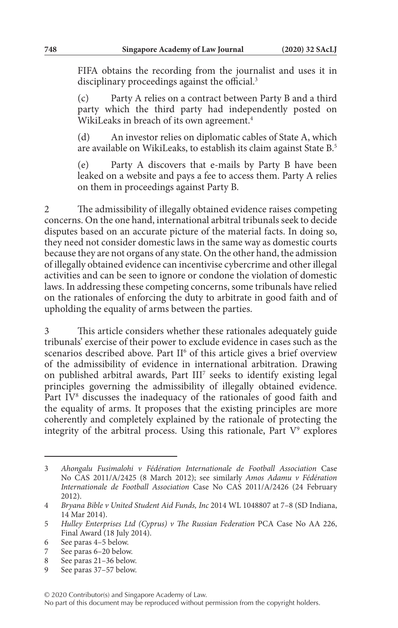FIFA obtains the recording from the journalist and uses it in disciplinary proceedings against the official.<sup>3</sup>

(c) Party A relies on a contract between Party B and a third party which the third party had independently posted on WikiLeaks in breach of its own agreement.<sup>4</sup>

(d) An investor relies on diplomatic cables of State A, which are available on WikiLeaks, to establish its claim against State B.5

(e) Party A discovers that e-mails by Party B have been leaked on a website and pays a fee to access them. Party A relies on them in proceedings against Party B.

2 The admissibility of illegally obtained evidence raises competing concerns. On the one hand, international arbitral tribunals seek to decide disputes based on an accurate picture of the material facts. In doing so, they need not consider domestic laws in the same way as domestic courts because they are not organs of any state. On the other hand, the admission of illegally obtained evidence can incentivise cybercrime and other illegal activities and can be seen to ignore or condone the violation of domestic laws. In addressing these competing concerns, some tribunals have relied on the rationales of enforcing the duty to arbitrate in good faith and of upholding the equality of arms between the parties.

This article considers whether these rationales adequately guide tribunals' exercise of their power to exclude evidence in cases such as the scenarios described above. Part II<sup>6</sup> of this article gives a brief overview of the admissibility of evidence in international arbitration. Drawing on published arbitral awards, Part III<sup>7</sup> seeks to identify existing legal principles governing the admissibility of illegally obtained evidence. Part IV<sup>8</sup> discusses the inadequacy of the rationales of good faith and the equality of arms. It proposes that the existing principles are more coherently and completely explained by the rationale of protecting the integrity of the arbitral process. Using this rationale, Part  $V^9$  explores

- 8 See paras 21–36 below.
- 9 See paras 37–57 below.

<sup>3</sup> *Ahongalu Fusimalohi v Fédération Internationale de Football Association* Case No CAS 2011/A/2425 (8 March 2012); see similarly *Amos Adamu v Fédération Internationale de Football Association* Case No CAS 2011/A/2426 (24 February 2012).

<sup>4</sup> *Bryana Bible v United Student Aid Funds, Inc* 2014 WL 1048807 at 7–8 (SD Indiana, 14 Mar 2014).

<sup>5</sup> *Hulley Enterprises Ltd (Cyprus) v The Russian Federation* PCA Case No AA 226, Final Award (18 July 2014).

<sup>6</sup> See paras 4–5 below.<br>7 See paras 6–20 below.

See paras 6–20 below.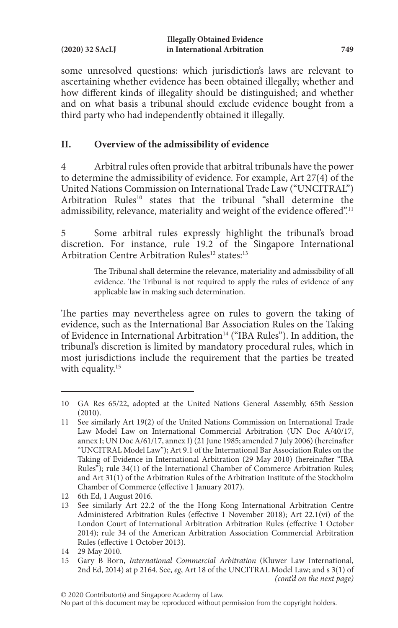some unresolved questions: which jurisdiction's laws are relevant to ascertaining whether evidence has been obtained illegally; whether and how different kinds of illegality should be distinguished; and whether and on what basis a tribunal should exclude evidence bought from a third party who had independently obtained it illegally.

# **II. Overview of the admissibility of evidence**

4 Arbitral rules often provide that arbitral tribunals have the power to determine the admissibility of evidence. For example, Art 27(4) of the United Nations Commission on International Trade Law ("UNCITRAL") Arbitration Rules<sup>10</sup> states that the tribunal "shall determine the admissibility, relevance, materiality and weight of the evidence offered".<sup>11</sup>

5 Some arbitral rules expressly highlight the tribunal's broad discretion. For instance, rule 19.2 of the Singapore International Arbitration Centre Arbitration Rules<sup>12</sup> states:<sup>13</sup>

> The Tribunal shall determine the relevance, materiality and admissibility of all evidence. The Tribunal is not required to apply the rules of evidence of any applicable law in making such determination.

The parties may nevertheless agree on rules to govern the taking of evidence, such as the International Bar Association Rules on the Taking of Evidence in International Arbitration<sup>14</sup> ("IBA Rules"). In addition, the tribunal's discretion is limited by mandatory procedural rules, which in most jurisdictions include the requirement that the parties be treated with equality.<sup>15</sup>

<sup>10</sup> GA Res 65/22, adopted at the United Nations General Assembly, 65th Session (2010).

<sup>11</sup> See similarly Art 19(2) of the United Nations Commission on International Trade Law Model Law on International Commercial Arbitration (UN Doc A/40/17, annex I; UN Doc A/61/17, annex I) (21 June 1985; amended 7 July 2006) (hereinafter "UNCITRAL Model Law"); Art 9.1 of the International Bar Association Rules on the Taking of Evidence in International Arbitration (29 May 2010) (hereinafter "IBA Rules"); rule 34(1) of the International Chamber of Commerce Arbitration Rules; and Art 31(1) of the Arbitration Rules of the Arbitration Institute of the Stockholm Chamber of Commerce (effective 1 January 2017).

<sup>12</sup> 6th Ed, 1 August 2016.

<sup>13</sup> See similarly Art 22.2 of the the Hong Kong International Arbitration Centre Administered Arbitration Rules (effective 1 November 2018); Art 22.1(vi) of the London Court of International Arbitration Arbitration Rules (effective 1 October 2014); rule 34 of the American Arbitration Association Commercial Arbitration Rules (effective 1 October 2013).

<sup>14</sup> 29 May 2010.

<sup>15</sup> Gary B Born, *International Commercial Arbitration* (Kluwer Law International, 2nd Ed, 2014) at p 2164. See, *eg*, Art 18 of the UNCITRAL Model Law; and s 3(1) of *(cont'd on the next page)*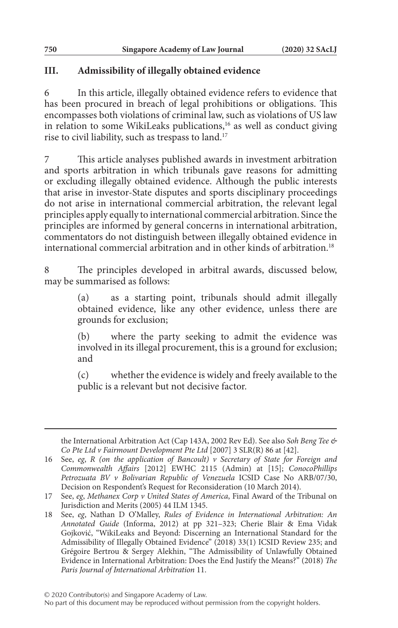## **III. Admissibility of illegally obtained evidence**

6 In this article, illegally obtained evidence refers to evidence that has been procured in breach of legal prohibitions or obligations. This encompasses both violations of criminal law, such as violations of US law in relation to some WikiLeaks publications,<sup>16</sup> as well as conduct giving rise to civil liability, such as trespass to land.17

7 This article analyses published awards in investment arbitration and sports arbitration in which tribunals gave reasons for admitting or excluding illegally obtained evidence. Although the public interests that arise in investor-State disputes and sports disciplinary proceedings do not arise in international commercial arbitration, the relevant legal principles apply equally to international commercial arbitration. Since the principles are informed by general concerns in international arbitration, commentators do not distinguish between illegally obtained evidence in international commercial arbitration and in other kinds of arbitration.<sup>18</sup>

8 The principles developed in arbitral awards, discussed below, may be summarised as follows:

> (a) as a starting point, tribunals should admit illegally obtained evidence, like any other evidence, unless there are grounds for exclusion;

> (b) where the party seeking to admit the evidence was involved in its illegal procurement, this is a ground for exclusion; and

> (c) whether the evidence is widely and freely available to the public is a relevant but not decisive factor.

the International Arbitration Act (Cap 143A, 2002 Rev Ed). See also *Soh Beng Tee & Co Pte Ltd v Fairmount Development Pte Ltd* [2007] 3 SLR(R) 86 at [42].

<sup>16</sup> See, *eg*, *R (on the application of Bancoult) v Secretary of State for Foreign and Commonwealth Affairs* [2012] EWHC 2115 (Admin) at [15]; *ConocoPhillips Petrozuata BV v Bolivarian Republic of Venezuela* ICSID Case No ARB/07/30, Decision on Respondent's Request for Reconsideration (10 March 2014).

<sup>17</sup> See, *eg*, *Methanex Corp v United States of America*, Final Award of the Tribunal on Jurisdiction and Merits (2005) 44 ILM 1345.

<sup>18</sup> See, *eg*, Nathan D O'Malley, *Rules of Evidence in International Arbitration: An Annotated Guide* (Informa, 2012) at pp 321–323; Cherie Blair & Ema Vidak Gojković, "WikiLeaks and Beyond: Discerning an International Standard for the Admissibility of Illegally Obtained Evidence" (2018) 33(1) ICSID Review 235; and Grégoire Bertrou & Sergey Alekhin, "The Admissibility of Unlawfully Obtained Evidence in International Arbitration: Does the End Justify the Means?" (2018) *The Paris Journal of International Arbitration* 11.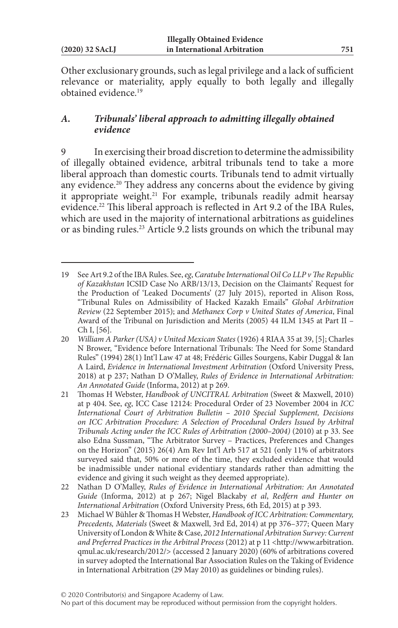Other exclusionary grounds, such as legal privilege and a lack of sufficient relevance or materiality, apply equally to both legally and illegally obtained evidence.19

## *A. Tribunals' liberal approach to admitting illegally obtained evidence*

9 In exercising their broad discretion to determine the admissibility of illegally obtained evidence, arbitral tribunals tend to take a more liberal approach than domestic courts. Tribunals tend to admit virtually any evidence.<sup>20</sup> They address any concerns about the evidence by giving it appropriate weight.<sup>21</sup> For example, tribunals readily admit hearsay evidence.22 This liberal approach is reflected in Art 9.2 of the IBA Rules, which are used in the majority of international arbitrations as guidelines or as binding rules.<sup>23</sup> Article 9.2 lists grounds on which the tribunal may

<sup>19</sup> See Art 9.2 of the IBA Rules. See, *eg*, *Caratube International Oil Co LLP v The Republic of Kazakhstan* ICSID Case No ARB/13/13, Decision on the Claimants' Request for the Production of 'Leaked Documents' (27 July 2015), reported in Alison Ross, "Tribunal Rules on Admissibility of Hacked Kazakh Emails" *Global Arbitration Review* (22 September 2015); and *Methanex Corp v United States of America*, Final Award of the Tribunal on Jurisdiction and Merits (2005) 44 ILM 1345 at Part II – Ch I, [56].

<sup>20</sup> *William A Parker (USA) v United Mexican States* (1926) 4 RIAA 35 at 39, [5]; Charles N Brower, "Evidence before International Tribunals: The Need for Some Standard Rules" (1994) 28(1) Int'l Law 47 at 48; Frédéric Gilles Sourgens, Kabir Duggal & Ian A Laird, *Evidence in International Investment Arbitration* (Oxford University Press, 2018) at p 237; Nathan D O'Malley, *Rules of Evidence in International Arbitration: An Annotated Guide* (Informa, 2012) at p 269.

<sup>21</sup> Thomas H Webster, *Handbook of UNCITRAL Arbitration* (Sweet & Maxwell, 2010) at p 404. See, *eg*, ICC Case 12124: Procedural Order of 23 November 2004 in *ICC International Court of Arbitration Bulletin – 2010 Special Supplement, Decisions on ICC Arbitration Procedure: A Selection of Procedural Orders Issued by Arbitral Tribunals Acting under the ICC Rules of Arbitration (2000–2004)* (2010) at p 33. See also Edna Sussman, "The Arbitrator Survey – Practices, Preferences and Changes on the Horizon" (2015) 26(4) Am Rev Int'l Arb 517 at 521 (only 11% of arbitrators surveyed said that, 50% or more of the time, they excluded evidence that would be inadmissible under national evidentiary standards rather than admitting the evidence and giving it such weight as they deemed appropriate).

<sup>22</sup> Nathan D O'Malley, *Rules of Evidence in International Arbitration: An Annotated Guide* (Informa, 2012) at p 267; Nigel Blackaby *et al*, *Redfern and Hunter on International Arbitration* (Oxford University Press, 6th Ed, 2015) at p 393.

<sup>23</sup> Michael W Bühler & Thomas H Webster, *Handbook of ICC Arbitration: Commentary, Precedents, Materials* (Sweet & Maxwell, 3rd Ed, 2014) at pp 376–377; Queen Mary University of London & White & Case, *2012 International Arbitration Survey: Current and Preferred Practices in the Arbitral Process* (2012) at p 11 <http://www.arbitration. qmul.ac.uk/research/2012/> (accessed 2 January 2020) (60% of arbitrations covered in survey adopted the International Bar Association Rules on the Taking of Evidence in International Arbitration (29 May 2010) as guidelines or binding rules).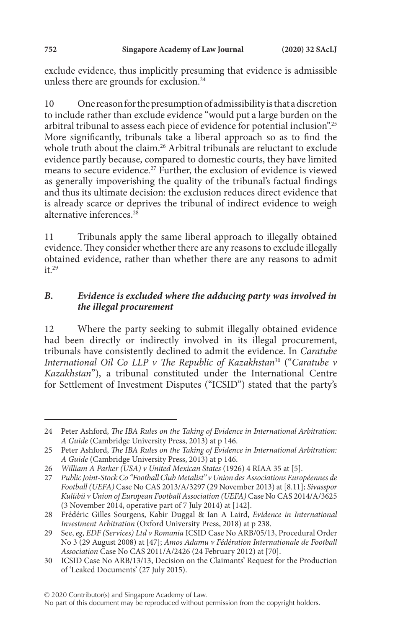exclude evidence, thus implicitly presuming that evidence is admissible unless there are grounds for exclusion.<sup>24</sup>

10 One reason for the presumption of admissibility is that a discretion to include rather than exclude evidence "would put a large burden on the arbitral tribunal to assess each piece of evidence for potential inclusion".25 More significantly, tribunals take a liberal approach so as to find the whole truth about the claim.<sup>26</sup> Arbitral tribunals are reluctant to exclude evidence partly because, compared to domestic courts, they have limited means to secure evidence.<sup>27</sup> Further, the exclusion of evidence is viewed as generally impoverishing the quality of the tribunal's factual findings and thus its ultimate decision: the exclusion reduces direct evidence that is already scarce or deprives the tribunal of indirect evidence to weigh alternative inferences<sup>28</sup>

11 Tribunals apply the same liberal approach to illegally obtained evidence. They consider whether there are any reasons to exclude illegally obtained evidence, rather than whether there are any reasons to admit  $it<sup>29</sup>$ 

# *B. Evidence is excluded where the adducing party was involved in the illegal procurement*

12 Where the party seeking to submit illegally obtained evidence had been directly or indirectly involved in its illegal procurement, tribunals have consistently declined to admit the evidence. In *Caratube International Oil Co LLP v The Republic of Kazakhstan*30 ("*Caratube v Kazakhstan*"), a tribunal constituted under the International Centre for Settlement of Investment Disputes ("ICSID") stated that the party's

<sup>24</sup> Peter Ashford, *The IBA Rules on the Taking of Evidence in International Arbitration: A Guide* (Cambridge University Press, 2013) at p 146.

<sup>25</sup> Peter Ashford, *The IBA Rules on the Taking of Evidence in International Arbitration: A Guide* (Cambridge University Press, 2013) at p 146.

<sup>26</sup> *William A Parker (USA) v United Mexican States* (1926) 4 RIAA 35 at [5].

<sup>27</sup> *Public Joint-Stock Co "Football Club Metalist" v Union des Associations Européennes de Football (UEFA)* Case No CAS 2013/A/3297 (29 November 2013) at [8.11]; *Sivasspor Kulübü v Union of European Football Association (UEFA)* Case No CAS 2014/A/3625 (3 November 2014, operative part of 7 July 2014) at [142].

<sup>28</sup> Frédéric Gilles Sourgens, Kabir Duggal & Ian A Laird, *Evidence in International Investment Arbitration* (Oxford University Press, 2018) at p 238.

<sup>29</sup> See, *eg*, *EDF (Services) Ltd v Romania* ICSID Case No ARB/05/13, Procedural Order No 3 (29 August 2008) at [47]; *Amos Adamu v Fédération Internationale de Football Association* Case No CAS 2011/A/2426 (24 February 2012) at [70].

<sup>30</sup> ICSID Case No ARB/13/13, Decision on the Claimants' Request for the Production of 'Leaked Documents' (27 July 2015).

No part of this document may be reproduced without permission from the copyright holders.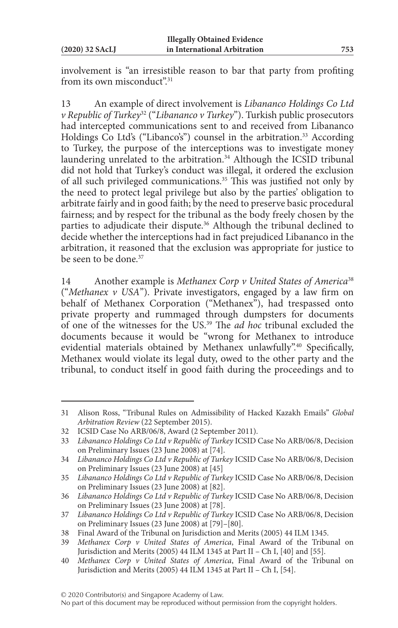involvement is "an irresistible reason to bar that party from profiting from its own misconduct".<sup>31</sup>

13 An example of direct involvement is *Libananco Holdings Co Ltd v Republic of Turkey*32 ("*Libananco v Turkey*"). Turkish public prosecutors had intercepted communications sent to and received from Libananco Holdings Co Ltd's ("Libanco's") counsel in the arbitration.<sup>33</sup> According to Turkey, the purpose of the interceptions was to investigate money laundering unrelated to the arbitration.<sup>34</sup> Although the ICSID tribunal did not hold that Turkey's conduct was illegal, it ordered the exclusion of all such privileged communications.<sup>35</sup> This was justified not only by the need to protect legal privilege but also by the parties' obligation to arbitrate fairly and in good faith; by the need to preserve basic procedural fairness; and by respect for the tribunal as the body freely chosen by the parties to adjudicate their dispute.<sup>36</sup> Although the tribunal declined to decide whether the interceptions had in fact prejudiced Libananco in the arbitration, it reasoned that the exclusion was appropriate for justice to be seen to be done.<sup>37</sup>

14 Another example is *Methanex Corp v United States of America*<sup>38</sup> ("*Methanex v USA*"). Private investigators, engaged by a law firm on behalf of Methanex Corporation ("Methanex"), had trespassed onto private property and rummaged through dumpsters for documents of one of the witnesses for the US.39 The *ad hoc* tribunal excluded the documents because it would be "wrong for Methanex to introduce evidential materials obtained by Methanex unlawfully".<sup>40</sup> Specifically, Methanex would violate its legal duty, owed to the other party and the tribunal, to conduct itself in good faith during the proceedings and to

<sup>31</sup> Alison Ross, "Tribunal Rules on Admissibility of Hacked Kazakh Emails" *Global Arbitration Review* (22 September 2015).

<sup>32</sup> ICSID Case No ARB/06/8, Award (2 September 2011).

<sup>33</sup> *Libananco Holdings Co Ltd v Republic of Turkey* ICSID Case No ARB/06/8, Decision on Preliminary Issues (23 June 2008) at [74].

<sup>34</sup> *Libananco Holdings Co Ltd v Republic of Turkey* ICSID Case No ARB/06/8, Decision on Preliminary Issues (23 June 2008) at [45]

<sup>35</sup> *Libananco Holdings Co Ltd v Republic of Turkey* ICSID Case No ARB/06/8, Decision on Preliminary Issues (23 June 2008) at [82].

<sup>36</sup> *Libananco Holdings Co Ltd v Republic of Turkey* ICSID Case No ARB/06/8, Decision on Preliminary Issues (23 June 2008) at [78].

<sup>37</sup> *Libananco Holdings Co Ltd v Republic of Turkey* ICSID Case No ARB/06/8, Decision on Preliminary Issues (23 June 2008) at [79]–[80].

<sup>38</sup> Final Award of the Tribunal on Jurisdiction and Merits (2005) 44 ILM 1345.

<sup>39</sup> *Methanex Corp v United States of America*, Final Award of the Tribunal on Jurisdiction and Merits (2005) 44 ILM 1345 at Part II – Ch I, [40] and [55].

<sup>40</sup> *Methanex Corp v United States of America*, Final Award of the Tribunal on Jurisdiction and Merits (2005) 44 ILM 1345 at Part II – Ch I, [54].

No part of this document may be reproduced without permission from the copyright holders.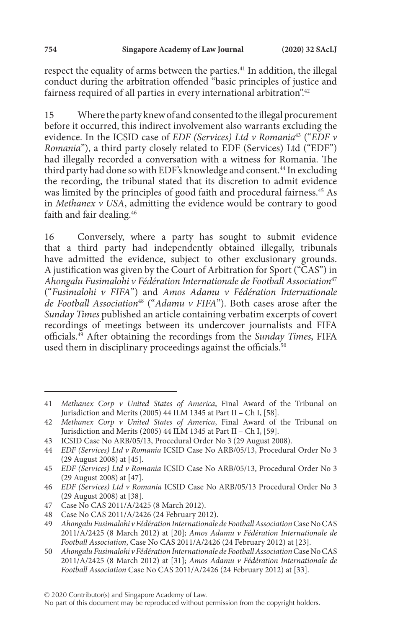respect the equality of arms between the parties.<sup>41</sup> In addition, the illegal conduct during the arbitration offended "basic principles of justice and fairness required of all parties in every international arbitration".<sup>42</sup>

15 Where the party knew of and consented to the illegal procurement before it occurred, this indirect involvement also warrants excluding the evidence. In the ICSID case of *EDF (Services) Ltd v Romania*43 ("*EDF v Romania*"), a third party closely related to EDF (Services) Ltd ("EDF") had illegally recorded a conversation with a witness for Romania. The third party had done so with EDF's knowledge and consent.<sup>44</sup> In excluding the recording, the tribunal stated that its discretion to admit evidence was limited by the principles of good faith and procedural fairness.<sup>45</sup> As in *Methanex v USA*, admitting the evidence would be contrary to good faith and fair dealing.<sup>46</sup>

16 Conversely, where a party has sought to submit evidence that a third party had independently obtained illegally, tribunals have admitted the evidence, subject to other exclusionary grounds. A justification was given by the Court of Arbitration for Sport ("CAS") in *Ahongalu Fusimalohi v Fédération Internationale de Football Association*<sup>47</sup> ("*Fusimalohi v FIFA*") and *Amos Adamu v Fédération Internationale de Football Association*48 ("*Adamu v FIFA*"). Both cases arose after the *Sunday Times* published an article containing verbatim excerpts of covert recordings of meetings between its undercover journalists and FIFA officials.49 After obtaining the recordings from the *Sunday Times*, FIFA used them in disciplinary proceedings against the officials.<sup>50</sup>

<sup>41</sup> *Methanex Corp v United States of America*, Final Award of the Tribunal on Jurisdiction and Merits (2005) 44 ILM 1345 at Part II – Ch I, [58].

<sup>42</sup> *Methanex Corp v United States of America*, Final Award of the Tribunal on Jurisdiction and Merits (2005) 44 ILM 1345 at Part II – Ch I, [59].

<sup>43</sup> ICSID Case No ARB/05/13, Procedural Order No 3 (29 August 2008).

<sup>44</sup> *EDF (Services) Ltd v Romania* ICSID Case No ARB/05/13, Procedural Order No 3 (29 August 2008) at [45].

<sup>45</sup> *EDF (Services) Ltd v Romania* ICSID Case No ARB/05/13, Procedural Order No 3 (29 August 2008) at [47].

<sup>46</sup> *EDF (Services) Ltd v Romania* ICSID Case No ARB/05/13 Procedural Order No 3 (29 August 2008) at [38].

<sup>47</sup> Case No CAS 2011/A/2425 (8 March 2012).

<sup>48</sup> Case No CAS 2011/A/2426 (24 February 2012).

<sup>49</sup> *Ahongalu Fusimalohi v Fédération Internationale de Football Association* Case No CAS 2011/A/2425 (8 March 2012) at [20]; *Amos Adamu v Fédération Internationale de Football Association*, Case No CAS 2011/A/2426 (24 February 2012) at [23].

<sup>50</sup> *Ahongalu Fusimalohi v Fédération Internationale de Football Association* Case No CAS 2011/A/2425 (8 March 2012) at [31]; *Amos Adamu v Fédération Internationale de Football Association* Case No CAS 2011/A/2426 (24 February 2012) at [33].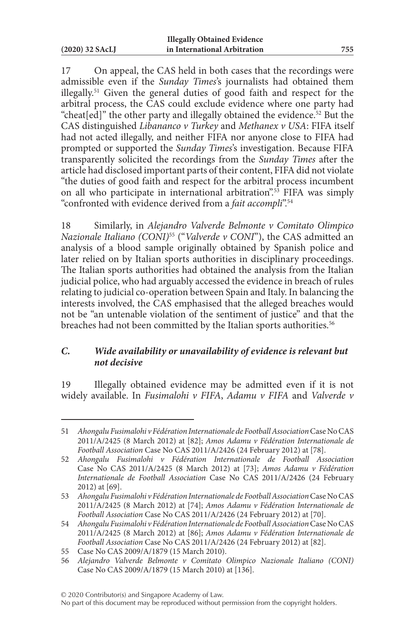17 On appeal, the CAS held in both cases that the recordings were admissible even if the *Sunday Times*'s journalists had obtained them illegally.51 Given the general duties of good faith and respect for the arbitral process, the CAS could exclude evidence where one party had "cheat[ed]" the other party and illegally obtained the evidence.52 But the CAS distinguished *Libananco v Turkey* and *Methanex v USA*: FIFA itself had not acted illegally, and neither FIFA nor anyone close to FIFA had prompted or supported the *Sunday Times*'s investigation. Because FIFA transparently solicited the recordings from the *Sunday Times* after the article had disclosed important parts of their content, FIFA did not violate "the duties of good faith and respect for the arbitral process incumbent on all who participate in international arbitration".<sup>53</sup> FIFA was simply "confronted with evidence derived from a *fait accompli*".54

18 Similarly, in *Alejandro Valverde Belmonte v Comitato Olimpico Nazionale Italiano (CONI)*55 ("*Valverde v CONI*"), the CAS admitted an analysis of a blood sample originally obtained by Spanish police and later relied on by Italian sports authorities in disciplinary proceedings. The Italian sports authorities had obtained the analysis from the Italian judicial police, who had arguably accessed the evidence in breach of rules relating to judicial co-operation between Spain and Italy. In balancing the interests involved, the CAS emphasised that the alleged breaches would not be "an untenable violation of the sentiment of justice" and that the breaches had not been committed by the Italian sports authorities.<sup>56</sup>

### *C. Wide availability or unavailability of evidence is relevant but not decisive*

19 Illegally obtained evidence may be admitted even if it is not widely available. In *Fusimalohi v FIFA*, *Adamu v FIFA* and *Valverde v* 

<sup>51</sup> *Ahongalu Fusimalohi v Fédération Internationale de Football Association* Case No CAS 2011/A/2425 (8 March 2012) at [82]; *Amos Adamu v Fédération Internationale de Football Association* Case No CAS 2011/A/2426 (24 February 2012) at [78].

<sup>52</sup> *Ahongalu Fusimalohi v Fédération Internationale de Football Association* Case No CAS 2011/A/2425 (8 March 2012) at [73]; *Amos Adamu v Fédération Internationale de Football Association* Case No CAS 2011/A/2426 (24 February 2012) at [69].

<sup>53</sup> *Ahongalu Fusimalohi v Fédération Internationale de Football Association* Case No CAS 2011/A/2425 (8 March 2012) at [74]; *Amos Adamu v Fédération Internationale de Football Association* Case No CAS 2011/A/2426 (24 February 2012) at [70].

<sup>54</sup> *Ahongalu Fusimalohi v Fédération Internationale de Football Association* Case No CAS 2011/A/2425 (8 March 2012) at [86]; *Amos Adamu v Fédération Internationale de Football Association* Case No CAS 2011/A/2426 (24 February 2012) at [82].

<sup>55</sup> Case No CAS 2009/A/1879 (15 March 2010).

<sup>56</sup> *Alejandro Valverde Belmonte v Comitato Olimpico Nazionale Italiano (CONI)* Case No CAS 2009/A/1879 (15 March 2010) at [136].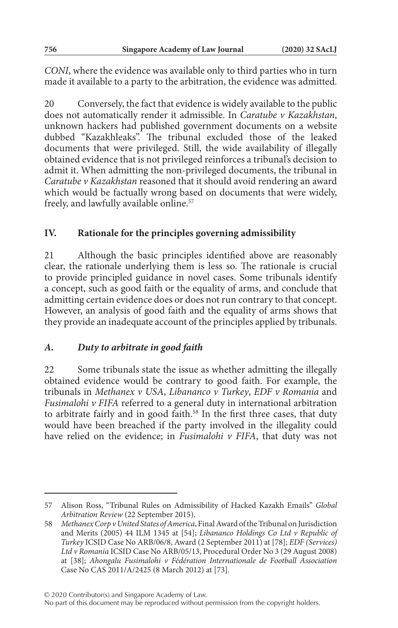*CONI*, where the evidence was available only to third parties who in turn made it available to a party to the arbitration, the evidence was admitted.

20 Conversely, the fact that evidence is widely available to the public does not automatically render it admissible. In *Caratube v Kazakhstan*, unknown hackers had published government documents on a website dubbed "Kazakhleaks". The tribunal excluded those of the leaked documents that were privileged. Still, the wide availability of illegally obtained evidence that is not privileged reinforces a tribunal's decision to admit it. When admitting the non-privileged documents, the tribunal in *Caratube v Kazakhstan* reasoned that it should avoid rendering an award which would be factually wrong based on documents that were widely, freely, and lawfully available online.<sup>57</sup>

### **IV. Rationale for the principles governing admissibility**

21 Although the basic principles identified above are reasonably clear, the rationale underlying them is less so. The rationale is crucial to provide principled guidance in novel cases. Some tribunals identify a concept, such as good faith or the equality of arms, and conclude that admitting certain evidence does or does not run contrary to that concept. However, an analysis of good faith and the equality of arms shows that they provide an inadequate account of the principles applied by tribunals.

#### *A. Duty to arbitrate in good faith*

22 Some tribunals state the issue as whether admitting the illegally obtained evidence would be contrary to good faith. For example, the tribunals in *Methanex v USA*, *Libananco v Turkey*, *EDF v Romania* and *Fusimalohi v FIFA* referred to a general duty in international arbitration to arbitrate fairly and in good faith.<sup>58</sup> In the first three cases, that duty would have been breached if the party involved in the illegality could have relied on the evidence; in *Fusimalohi v FIFA*, that duty was not

© 2020 Contributor(s) and Singapore Academy of Law.

<sup>57</sup> Alison Ross, "Tribunal Rules on Admissibility of Hacked Kazakh Emails" *Global Arbitration Review* (22 September 2015).

<sup>58</sup> *Methanex Corp v United States of America*, Final Award of the Tribunal on Jurisdiction and Merits (2005) 44 ILM 1345 at [54]; *Libananco Holdings Co Ltd v Republic of Turkey* ICSID Case No ARB/06/8, Award (2 September 2011) at [78]; *EDF (Services) Ltd v Romania* ICSID Case No ARB/05/13, Procedural Order No 3 (29 August 2008) at [38]; *Ahongalu Fusimalohi v Fédération Internationale de Football Association* Case No CAS 2011/A/2425 (8 March 2012) at [73].

No part of this document may be reproduced without permission from the copyright holders.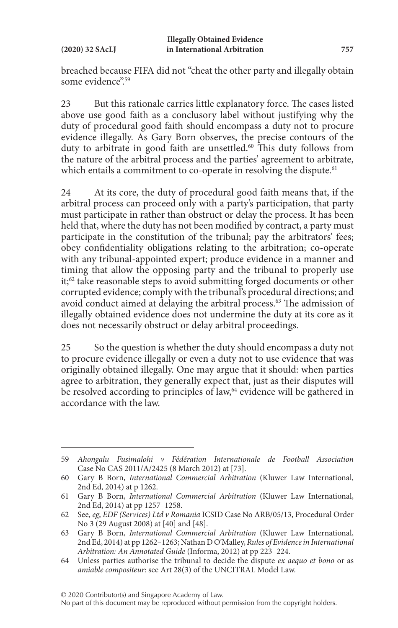breached because FIFA did not "cheat the other party and illegally obtain some evidence".59

23 But this rationale carries little explanatory force. The cases listed above use good faith as a conclusory label without justifying why the duty of procedural good faith should encompass a duty not to procure evidence illegally. As Gary Born observes, the precise contours of the duty to arbitrate in good faith are unsettled.<sup>60</sup> This duty follows from the nature of the arbitral process and the parties' agreement to arbitrate, which entails a commitment to co-operate in resolving the dispute.<sup>61</sup>

24 At its core, the duty of procedural good faith means that, if the arbitral process can proceed only with a party's participation, that party must participate in rather than obstruct or delay the process. It has been held that, where the duty has not been modified by contract, a party must participate in the constitution of the tribunal; pay the arbitrators' fees; obey confidentiality obligations relating to the arbitration; co-operate with any tribunal-appointed expert; produce evidence in a manner and timing that allow the opposing party and the tribunal to properly use it;<sup>62</sup> take reasonable steps to avoid submitting forged documents or other corrupted evidence; comply with the tribunal's procedural directions; and avoid conduct aimed at delaying the arbitral process.<sup>63</sup> The admission of illegally obtained evidence does not undermine the duty at its core as it does not necessarily obstruct or delay arbitral proceedings.

25 So the question is whether the duty should encompass a duty not to procure evidence illegally or even a duty not to use evidence that was originally obtained illegally. One may argue that it should: when parties agree to arbitration, they generally expect that, just as their disputes will be resolved according to principles of law,<sup>64</sup> evidence will be gathered in accordance with the law.

<sup>59</sup> *Ahongalu Fusimalohi v Fédération Internationale de Football Association* Case No CAS 2011/A/2425 (8 March 2012) at [73].

<sup>60</sup> Gary B Born, *International Commercial Arbitration* (Kluwer Law International, 2nd Ed, 2014) at p 1262.

<sup>61</sup> Gary B Born, *International Commercial Arbitration* (Kluwer Law International, 2nd Ed, 2014) at pp 1257–1258.

<sup>62</sup> See, *eg*, *EDF (Services) Ltd v Romania* ICSID Case No ARB/05/13, Procedural Order No 3 (29 August 2008) at [40] and [48].

<sup>63</sup> Gary B Born, *International Commercial Arbitration* (Kluwer Law International, 2nd Ed, 2014) at pp 1262–1263; Nathan D O'Malley, *Rules of Evidence in International Arbitration: An Annotated Guide* (Informa, 2012) at pp 223–224.

<sup>64</sup> Unless parties authorise the tribunal to decide the dispute *ex aequo et bono* or as *amiable compositeur*: see Art 28(3) of the UNCITRAL Model Law.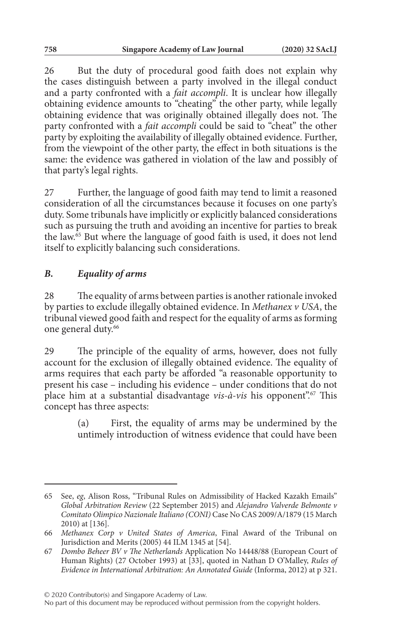26 But the duty of procedural good faith does not explain why the cases distinguish between a party involved in the illegal conduct and a party confronted with a *fait accompli*. It is unclear how illegally obtaining evidence amounts to "cheating" the other party, while legally obtaining evidence that was originally obtained illegally does not. The party confronted with a *fait accompli* could be said to "cheat" the other party by exploiting the availability of illegally obtained evidence. Further, from the viewpoint of the other party, the effect in both situations is the same: the evidence was gathered in violation of the law and possibly of that party's legal rights.

27 Further, the language of good faith may tend to limit a reasoned consideration of all the circumstances because it focuses on one party's duty. Some tribunals have implicitly or explicitly balanced considerations such as pursuing the truth and avoiding an incentive for parties to break the law.65 But where the language of good faith is used, it does not lend itself to explicitly balancing such considerations.

# *B. Equality of arms*

28 The equality of arms between parties is another rationale invoked by parties to exclude illegally obtained evidence. In *Methanex v USA*, the tribunal viewed good faith and respect for the equality of arms as forming one general duty.<sup>66</sup>

29 The principle of the equality of arms, however, does not fully account for the exclusion of illegally obtained evidence. The equality of arms requires that each party be afforded "a reasonable opportunity to present his case – including his evidence – under conditions that do not place him at a substantial disadvantage *vis-à-vis* his opponent".<sup>67</sup> This concept has three aspects:

> (a) First, the equality of arms may be undermined by the untimely introduction of witness evidence that could have been

© 2020 Contributor(s) and Singapore Academy of Law.

<sup>65</sup> See, *eg*, Alison Ross, "Tribunal Rules on Admissibility of Hacked Kazakh Emails" *Global Arbitration Review* (22 September 2015) and *Alejandro Valverde Belmonte v Comitato Olimpico Nazionale Italiano (CONI)* Case No CAS 2009/A/1879 (15 March 2010) at [136].

<sup>66</sup> *Methanex Corp v United States of America*, Final Award of the Tribunal on Jurisdiction and Merits (2005) 44 ILM 1345 at [54].

<sup>67</sup> *Dombo Beheer BV v The Netherlands* Application No 14448/88 (European Court of Human Rights) (27 October 1993) at [33], quoted in Nathan D O'Malley, *Rules of Evidence in International Arbitration: An Annotated Guide* (Informa, 2012) at p 321.

No part of this document may be reproduced without permission from the copyright holders.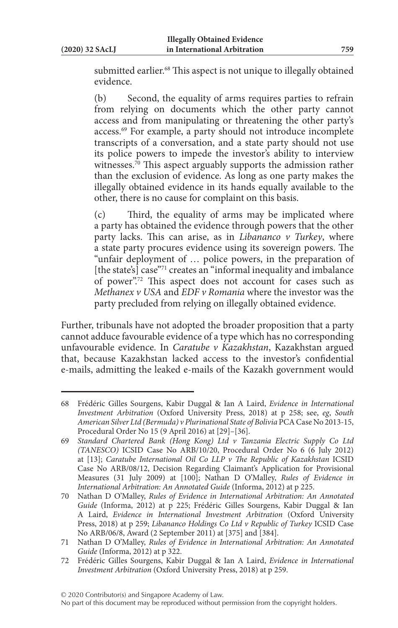submitted earlier.<sup>68</sup> This aspect is not unique to illegally obtained evidence.

(b) Second, the equality of arms requires parties to refrain from relying on documents which the other party cannot access and from manipulating or threatening the other party's access.69 For example, a party should not introduce incomplete transcripts of a conversation, and a state party should not use its police powers to impede the investor's ability to interview witnesses.<sup>70</sup> This aspect arguably supports the admission rather than the exclusion of evidence. As long as one party makes the illegally obtained evidence in its hands equally available to the other, there is no cause for complaint on this basis.

(c) Third, the equality of arms may be implicated where a party has obtained the evidence through powers that the other party lacks. This can arise, as in *Libananco v Turkey*, where a state party procures evidence using its sovereign powers. The "unfair deployment of … police powers, in the preparation of [the state's] case"<sup>71</sup> creates an "informal inequality and imbalance of power".72 This aspect does not account for cases such as *Methanex v USA* and *EDF v Romania* where the investor was the party precluded from relying on illegally obtained evidence.

Further, tribunals have not adopted the broader proposition that a party cannot adduce favourable evidence of a type which has no corresponding unfavourable evidence. In *Caratube v Kazakhstan*, Kazakhstan argued that, because Kazakhstan lacked access to the investor's confidential e-mails, admitting the leaked e-mails of the Kazakh government would

<sup>68</sup> Frédéric Gilles Sourgens, Kabir Duggal & Ian A Laird, *Evidence in International Investment Arbitration* (Oxford University Press, 2018) at p 258; see, *eg*, *South American Silver Ltd (Bermuda) v Plurinational State of Bolivia* PCA Case No 2013-15, Procedural Order No 15 (9 April 2016) at [29]–[36].

<sup>69</sup> *Standard Chartered Bank (Hong Kong) Ltd v Tanzania Electric Supply Co Ltd (TANESCO)* ICSID Case No ARB/10/20, Procedural Order No 6 (6 July 2012) at [13]; *Caratube International Oil Co LLP v The Republic of Kazakhstan* ICSID Case No ARB/08/12, Decision Regarding Claimant's Application for Provisional Measures (31 July 2009) at [100]; Nathan D O'Malley, *Rules of Evidence in International Arbitration: An Annotated Guide* (Informa, 2012) at p 225.

<sup>70</sup> Nathan D O'Malley, *Rules of Evidence in International Arbitration: An Annotated Guide* (Informa, 2012) at p 225; Frédéric Gilles Sourgens, Kabir Duggal & Ian A Laird, *Evidence in International Investment Arbitration* (Oxford University Press, 2018) at p 259; *Libananco Holdings Co Ltd v Republic of Turkey* ICSID Case No ARB/06/8, Award (2 September 2011) at [375] and [384].

<sup>71</sup> Nathan D O'Malley, *Rules of Evidence in International Arbitration: An Annotated Guide* (Informa, 2012) at p 322.

<sup>72</sup> Frédéric Gilles Sourgens, Kabir Duggal & Ian A Laird, *Evidence in International Investment Arbitration* (Oxford University Press, 2018) at p 259.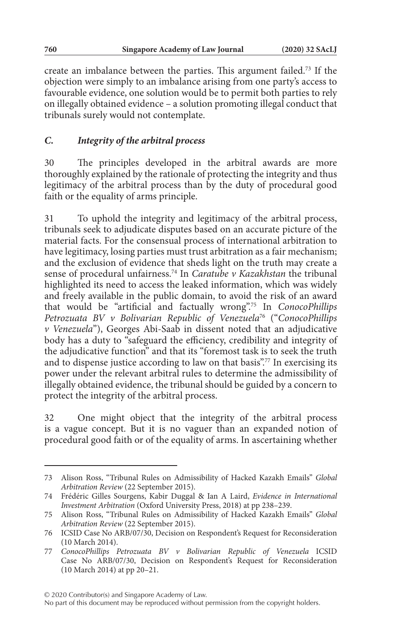create an imbalance between the parties. This argument failed.73 If the objection were simply to an imbalance arising from one party's access to favourable evidence, one solution would be to permit both parties to rely on illegally obtained evidence – a solution promoting illegal conduct that tribunals surely would not contemplate.

# *C. Integrity of the arbitral process*

30 The principles developed in the arbitral awards are more thoroughly explained by the rationale of protecting the integrity and thus legitimacy of the arbitral process than by the duty of procedural good faith or the equality of arms principle.

31 To uphold the integrity and legitimacy of the arbitral process, tribunals seek to adjudicate disputes based on an accurate picture of the material facts. For the consensual process of international arbitration to have legitimacy, losing parties must trust arbitration as a fair mechanism; and the exclusion of evidence that sheds light on the truth may create a sense of procedural unfairness.74 In *Caratube v Kazakhstan* the tribunal highlighted its need to access the leaked information, which was widely and freely available in the public domain, to avoid the risk of an award that would be "artificial and factually wrong".75 In *ConocoPhillips Petrozuata BV v Bolivarian Republic of Venezuela*76 ("*ConocoPhillips v Venezuela*"), Georges Abi-Saab in dissent noted that an adjudicative body has a duty to "safeguard the efficiency, credibility and integrity of the adjudicative function" and that its "foremost task is to seek the truth and to dispense justice according to law on that basis".77 In exercising its power under the relevant arbitral rules to determine the admissibility of illegally obtained evidence, the tribunal should be guided by a concern to protect the integrity of the arbitral process.

32 One might object that the integrity of the arbitral process is a vague concept. But it is no vaguer than an expanded notion of procedural good faith or of the equality of arms. In ascertaining whether

<sup>73</sup> Alison Ross, "Tribunal Rules on Admissibility of Hacked Kazakh Emails" *Global Arbitration Review* (22 September 2015).

<sup>74</sup> Frédéric Gilles Sourgens, Kabir Duggal & Ian A Laird, *Evidence in International Investment Arbitration* (Oxford University Press, 2018) at pp 238–239.

<sup>75</sup> Alison Ross, "Tribunal Rules on Admissibility of Hacked Kazakh Emails" *Global Arbitration Review* (22 September 2015).

<sup>76</sup> ICSID Case No ARB/07/30, Decision on Respondent's Request for Reconsideration (10 March 2014).

<sup>77</sup> *ConocoPhillips Petrozuata BV v Bolivarian Republic of Venezuela* ICSID Case No ARB/07/30, Decision on Respondent's Request for Reconsideration (10 March 2014) at pp 20–21.

No part of this document may be reproduced without permission from the copyright holders.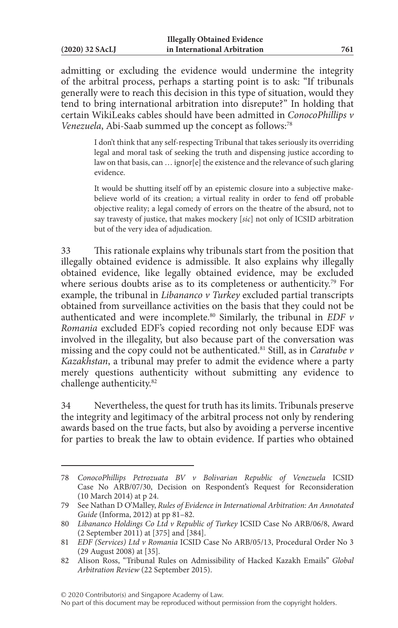| $(2020)$ 32 SAcLJ |  |  |
|-------------------|--|--|
|                   |  |  |

admitting or excluding the evidence would undermine the integrity of the arbitral process, perhaps a starting point is to ask: "If tribunals generally were to reach this decision in this type of situation, would they tend to bring international arbitration into disrepute?" In holding that certain WikiLeaks cables should have been admitted in *ConocoPhillips v Venezuela*, Abi-Saab summed up the concept as follows:<sup>78</sup>

> I don't think that any self-respecting Tribunal that takes seriously its overriding legal and moral task of seeking the truth and dispensing justice according to law on that basis, can ... ignor[e] the existence and the relevance of such glaring evidence.

> It would be shutting itself off by an epistemic closure into a subjective makebelieve world of its creation; a virtual reality in order to fend off probable objective reality; a legal comedy of errors on the theatre of the absurd, not to say travesty of justice, that makes mockery [*sic*] not only of ICSID arbitration but of the very idea of adjudication.

33 This rationale explains why tribunals start from the position that illegally obtained evidence is admissible. It also explains why illegally obtained evidence, like legally obtained evidence, may be excluded where serious doubts arise as to its completeness or authenticity.<sup>79</sup> For example, the tribunal in *Libananco v Turkey* excluded partial transcripts obtained from surveillance activities on the basis that they could not be authenticated and were incomplete.80 Similarly, the tribunal in *EDF v Romania* excluded EDF's copied recording not only because EDF was involved in the illegality, but also because part of the conversation was missing and the copy could not be authenticated.81 Still, as in *Caratube v Kazakhstan*, a tribunal may prefer to admit the evidence where a party merely questions authenticity without submitting any evidence to challenge authenticity.82

34 Nevertheless, the quest for truth has its limits. Tribunals preserve the integrity and legitimacy of the arbitral process not only by rendering awards based on the true facts, but also by avoiding a perverse incentive for parties to break the law to obtain evidence. If parties who obtained

© 2020 Contributor(s) and Singapore Academy of Law.

<sup>78</sup> *ConocoPhillips Petrozuata BV v Bolivarian Republic of Venezuela* ICSID Case No ARB/07/30, Decision on Respondent's Request for Reconsideration (10 March 2014) at p 24.

<sup>79</sup> See Nathan D O'Malley, *Rules of Evidence in International Arbitration: An Annotated Guide* (Informa, 2012) at pp 81–82.

<sup>80</sup> *Libananco Holdings Co Ltd v Republic of Turkey* ICSID Case No ARB/06/8, Award (2 September 2011) at [375] and [384].

<sup>81</sup> *EDF (Services) Ltd v Romania* ICSID Case No ARB/05/13, Procedural Order No 3 (29 August 2008) at [35].

<sup>82</sup> Alison Ross, "Tribunal Rules on Admissibility of Hacked Kazakh Emails" *Global Arbitration Review* (22 September 2015).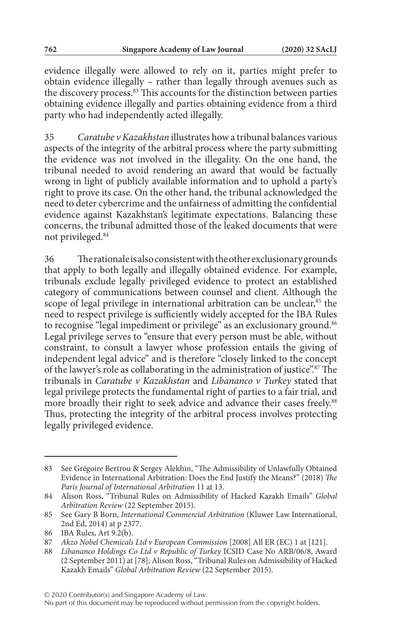evidence illegally were allowed to rely on it, parties might prefer to obtain evidence illegally – rather than legally through avenues such as the discovery process.<sup>83</sup> This accounts for the distinction between parties obtaining evidence illegally and parties obtaining evidence from a third party who had independently acted illegally.

35 *Caratube v Kazakhstan* illustrates how a tribunal balances various aspects of the integrity of the arbitral process where the party submitting the evidence was not involved in the illegality. On the one hand, the tribunal needed to avoid rendering an award that would be factually wrong in light of publicly available information and to uphold a party's right to prove its case. On the other hand, the tribunal acknowledged the need to deter cybercrime and the unfairness of admitting the confidential evidence against Kazakhstan's legitimate expectations. Balancing these concerns, the tribunal admitted those of the leaked documents that were not privileged.84

36 The rationale is also consistent with the other exclusionary grounds that apply to both legally and illegally obtained evidence. For example, tribunals exclude legally privileged evidence to protect an established category of communications between counsel and client. Although the scope of legal privilege in international arbitration can be unclear,<sup>85</sup> the need to respect privilege is sufficiently widely accepted for the IBA Rules to recognise "legal impediment or privilege" as an exclusionary ground.<sup>86</sup> Legal privilege serves to "ensure that every person must be able, without constraint, to consult a lawyer whose profession entails the giving of independent legal advice" and is therefore "closely linked to the concept of the lawyer's role as collaborating in the administration of justice".<sup>87</sup> The tribunals in *Caratube v Kazakhstan* and *Libananco v Turkey* stated that legal privilege protects the fundamental right of parties to a fair trial, and more broadly their right to seek advice and advance their cases freely.<sup>88</sup> Thus, protecting the integrity of the arbitral process involves protecting legally privileged evidence.

<sup>83</sup> See Grégoire Bertrou & Sergey Alekhin, "The Admissibility of Unlawfully Obtained Evidence in International Arbitration: Does the End Justify the Means?" (2018) *The Paris Journal of International Arbitration* 11 at 13.

<sup>84</sup> Alison Ross, "Tribunal Rules on Admissibility of Hacked Kazakh Emails" *Global Arbitration Review* (22 September 2015).

<sup>85</sup> See Gary B Born, *International Commercial Arbitration* (Kluwer Law International, 2nd Ed, 2014) at p 2377.

<sup>86</sup> IBA Rules, Art 9.2(b).

<sup>87</sup> *Akzo Nobel Chemicals Ltd v European Commission* [2008] All ER (EC) 1 at [121].

<sup>88</sup> *Libananco Holdings Co Ltd v Republic of Turkey* ICSID Case No ARB/06/8, Award (2 September 2011) at [78]; Alison Ross, "Tribunal Rules on Admissibility of Hacked Kazakh Emails" *Global Arbitration Review* (22 September 2015).

<sup>© 2020</sup> Contributor(s) and Singapore Academy of Law.

No part of this document may be reproduced without permission from the copyright holders.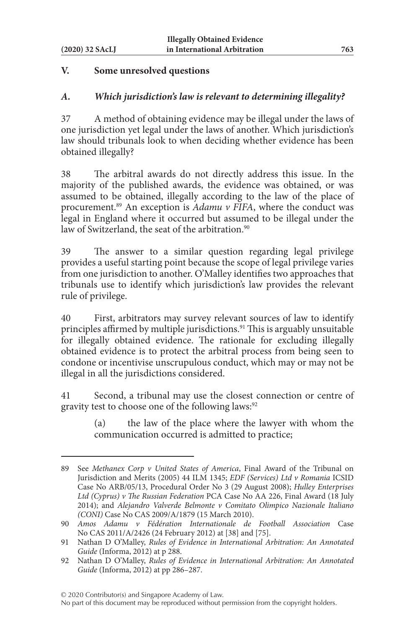#### **V. Some unresolved questions**

#### *A. Which jurisdiction's law is relevant to determining illegality?*

37 A method of obtaining evidence may be illegal under the laws of one jurisdiction yet legal under the laws of another. Which jurisdiction's law should tribunals look to when deciding whether evidence has been obtained illegally?

38 The arbitral awards do not directly address this issue. In the majority of the published awards, the evidence was obtained, or was assumed to be obtained, illegally according to the law of the place of procurement.89 An exception is *Adamu v FIFA*, where the conduct was legal in England where it occurred but assumed to be illegal under the law of Switzerland, the seat of the arbitration.<sup>90</sup>

39 The answer to a similar question regarding legal privilege provides a useful starting point because the scope of legal privilege varies from one jurisdiction to another. O'Malley identifies two approaches that tribunals use to identify which jurisdiction's law provides the relevant rule of privilege.

40 First, arbitrators may survey relevant sources of law to identify principles affirmed by multiple jurisdictions.91 This is arguably unsuitable for illegally obtained evidence. The rationale for excluding illegally obtained evidence is to protect the arbitral process from being seen to condone or incentivise unscrupulous conduct, which may or may not be illegal in all the jurisdictions considered.

41 Second, a tribunal may use the closest connection or centre of gravity test to choose one of the following laws:<sup>92</sup>

> (a) the law of the place where the lawyer with whom the communication occurred is admitted to practice;

<sup>89</sup> See *Methanex Corp v United States of America*, Final Award of the Tribunal on Jurisdiction and Merits (2005) 44 ILM 1345; *EDF (Services) Ltd v Romania* ICSID Case No ARB/05/13, Procedural Order No 3 (29 August 2008); *Hulley Enterprises Ltd (Cyprus) v The Russian Federation* PCA Case No AA 226, Final Award (18 July 2014); and *Alejandro Valverde Belmonte v Comitato Olimpico Nazionale Italiano (CONI)* Case No CAS 2009/A/1879 (15 March 2010).

<sup>90</sup> *Amos Adamu v Fédération Internationale de Football Association* Case No CAS 2011/A/2426 (24 February 2012) at [38] and [75].

<sup>91</sup> Nathan D O'Malley, *Rules of Evidence in International Arbitration: An Annotated Guide* (Informa, 2012) at p 288.

<sup>92</sup> Nathan D O'Malley, *Rules of Evidence in International Arbitration: An Annotated Guide* (Informa, 2012) at pp 286–287.

No part of this document may be reproduced without permission from the copyright holders.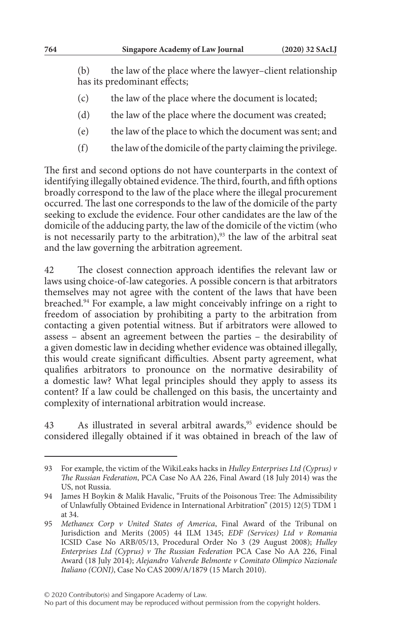(b) the law of the place where the lawyer–client relationship has its predominant effects;

- (c) the law of the place where the document is located;
- (d) the law of the place where the document was created;
- (e) the law of the place to which the document was sent; and
- (f) the law of the domicile of the party claiming the privilege.

The first and second options do not have counterparts in the context of identifying illegally obtained evidence. The third, fourth, and fifth options broadly correspond to the law of the place where the illegal procurement occurred. The last one corresponds to the law of the domicile of the party seeking to exclude the evidence. Four other candidates are the law of the domicile of the adducing party, the law of the domicile of the victim (who is not necessarily party to the arbitration),<sup>93</sup> the law of the arbitral seat and the law governing the arbitration agreement.

42 The closest connection approach identifies the relevant law or laws using choice-of-law categories. A possible concern is that arbitrators themselves may not agree with the content of the laws that have been breached.94 For example, a law might conceivably infringe on a right to freedom of association by prohibiting a party to the arbitration from contacting a given potential witness. But if arbitrators were allowed to assess – absent an agreement between the parties – the desirability of a given domestic law in deciding whether evidence was obtained illegally, this would create significant difficulties. Absent party agreement, what qualifies arbitrators to pronounce on the normative desirability of a domestic law? What legal principles should they apply to assess its content? If a law could be challenged on this basis, the uncertainty and complexity of international arbitration would increase.

43 As illustrated in several arbitral awards,<sup>95</sup> evidence should be considered illegally obtained if it was obtained in breach of the law of

<sup>93</sup> For example, the victim of the WikiLeaks hacks in *Hulley Enterprises Ltd (Cyprus) v The Russian Federation*, PCA Case No AA 226, Final Award (18 July 2014) was the US, not Russia.

<sup>94</sup> James H Boykin & Malik Havalic, "Fruits of the Poisonous Tree: The Admissibility of Unlawfully Obtained Evidence in International Arbitration" (2015) 12(5) TDM 1 at 34.

<sup>95</sup> *Methanex Corp v United States of America*, Final Award of the Tribunal on Jurisdiction and Merits (2005) 44 ILM 1345; *EDF (Services) Ltd v Romania* ICSID Case No ARB/05/13, Procedural Order No 3 (29 August 2008); *Hulley Enterprises Ltd (Cyprus) v The Russian Federation* PCA Case No AA 226, Final Award (18 July 2014); *Alejandro Valverde Belmonte v Comitato Olimpico Nazionale Italiano (CONI)*, Case No CAS 2009/A/1879 (15 March 2010).

No part of this document may be reproduced without permission from the copyright holders.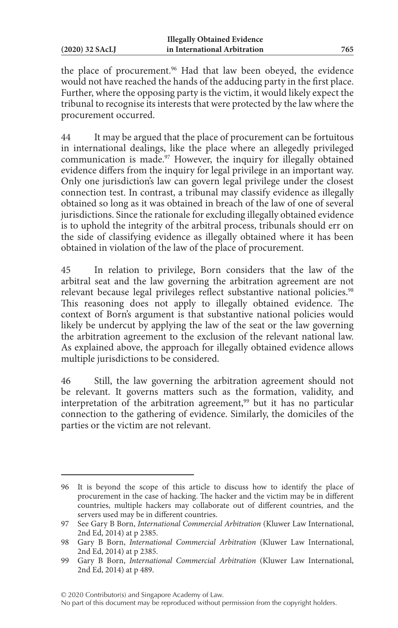the place of procurement.<sup>96</sup> Had that law been obeyed, the evidence would not have reached the hands of the adducing party in the first place. Further, where the opposing party is the victim, it would likely expect the tribunal to recognise its interests that were protected by the law where the procurement occurred.

44 It may be argued that the place of procurement can be fortuitous in international dealings, like the place where an allegedly privileged communication is made.<sup>97</sup> However, the inquiry for illegally obtained evidence differs from the inquiry for legal privilege in an important way. Only one jurisdiction's law can govern legal privilege under the closest connection test. In contrast, a tribunal may classify evidence as illegally obtained so long as it was obtained in breach of the law of one of several jurisdictions. Since the rationale for excluding illegally obtained evidence is to uphold the integrity of the arbitral process, tribunals should err on the side of classifying evidence as illegally obtained where it has been obtained in violation of the law of the place of procurement.

45 In relation to privilege, Born considers that the law of the arbitral seat and the law governing the arbitration agreement are not relevant because legal privileges reflect substantive national policies.<sup>98</sup> This reasoning does not apply to illegally obtained evidence. The context of Born's argument is that substantive national policies would likely be undercut by applying the law of the seat or the law governing the arbitration agreement to the exclusion of the relevant national law. As explained above, the approach for illegally obtained evidence allows multiple jurisdictions to be considered.

46 Still, the law governing the arbitration agreement should not be relevant. It governs matters such as the formation, validity, and interpretation of the arbitration agreement,<sup>99</sup> but it has no particular connection to the gathering of evidence. Similarly, the domiciles of the parties or the victim are not relevant.

© 2020 Contributor(s) and Singapore Academy of Law.

<sup>96</sup> It is beyond the scope of this article to discuss how to identify the place of procurement in the case of hacking. The hacker and the victim may be in different countries, multiple hackers may collaborate out of different countries, and the servers used may be in different countries.

<sup>97</sup> See Gary B Born, *International Commercial Arbitration* (Kluwer Law International, 2nd Ed, 2014) at p 2385.

<sup>98</sup> Gary B Born, *International Commercial Arbitration* (Kluwer Law International, 2nd Ed, 2014) at p 2385.

<sup>99</sup> Gary B Born, *International Commercial Arbitration* (Kluwer Law International, 2nd Ed, 2014) at p 489.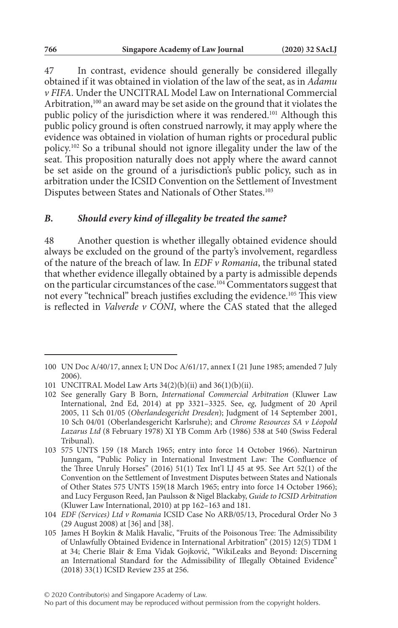47 In contrast, evidence should generally be considered illegally obtained if it was obtained in violation of the law of the seat, as in *Adamu v FIFA*. Under the UNCITRAL Model Law on International Commercial Arbitration,<sup>100</sup> an award may be set aside on the ground that it violates the public policy of the jurisdiction where it was rendered.101 Although this public policy ground is often construed narrowly, it may apply where the evidence was obtained in violation of human rights or procedural public policy.102 So a tribunal should not ignore illegality under the law of the seat. This proposition naturally does not apply where the award cannot be set aside on the ground of a jurisdiction's public policy, such as in arbitration under the ICSID Convention on the Settlement of Investment Disputes between States and Nationals of Other States.103

#### *B. Should every kind of illegality be treated the same?*

48 Another question is whether illegally obtained evidence should always be excluded on the ground of the party's involvement, regardless of the nature of the breach of law. In *EDF v Romania*, the tribunal stated that whether evidence illegally obtained by a party is admissible depends on the particular circumstances of the case.104 Commentators suggest that not every "technical" breach justifies excluding the evidence.105 This view is reflected in *Valverde v CONI*, where the CAS stated that the alleged

<sup>100</sup> UN Doc A/40/17, annex I; UN Doc A/61/17, annex I (21 June 1985; amended 7 July 2006).

<sup>101</sup> UNCITRAL Model Law Arts 34(2)(b)(ii) and 36(1)(b)(ii).

<sup>102</sup> See generally Gary B Born, *International Commercial Arbitration* (Kluwer Law International, 2nd Ed, 2014) at pp 3321–3325. See, *eg*, Judgment of 20 April 2005, 11 Sch 01/05 (*Oberlandesgericht Dresden*); Judgment of 14 September 2001, 10 Sch 04/01 (Oberlandesgericht Karlsruhe); and *Chrome Resources SA v Léopold Lazarus Ltd* (8 February 1978) XI YB Comm Arb (1986) 538 at 540 (Swiss Federal Tribunal).

<sup>103</sup> 575 UNTS 159 (18 March 1965; entry into force 14 October 1966). Nartnirun Junngam, "Public Policy in International Investment Law: The Confluence of the Three Unruly Horses" (2016) 51(1) Tex Int'l LJ 45 at 95. See Art 52(1) of the Convention on the Settlement of Investment Disputes between States and Nationals of Other States 575 UNTS 159(18 March 1965; entry into force 14 October 1966); and Lucy Ferguson Reed, Jan Paulsson & Nigel Blackaby, *Guide to ICSID Arbitration* (Kluwer Law International, 2010) at pp 162–163 and 181.

<sup>104</sup> *EDF (Services) Ltd v Romania* ICSID Case No ARB/05/13, Procedural Order No 3 (29 August 2008) at [36] and [38].

<sup>105</sup> James H Boykin & Malik Havalic, "Fruits of the Poisonous Tree: The Admissibility of Unlawfully Obtained Evidence in International Arbitration" (2015) 12(5) TDM 1 at 34; Cherie Blair & Ema Vidak Gojković, "WikiLeaks and Beyond: Discerning an International Standard for the Admissibility of Illegally Obtained Evidence" (2018) 33(1) ICSID Review 235 at 256.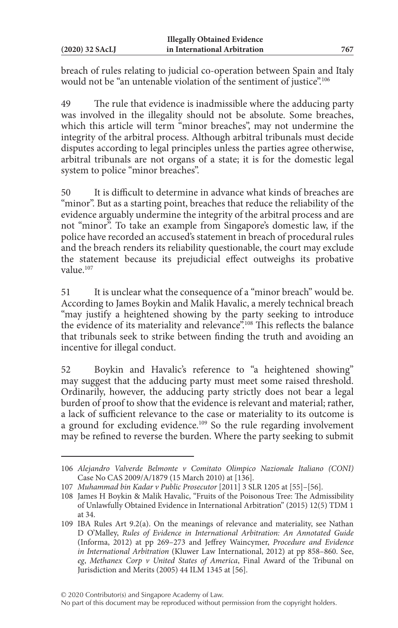breach of rules relating to judicial co-operation between Spain and Italy would not be "an untenable violation of the sentiment of justice".<sup>106</sup>

49 The rule that evidence is inadmissible where the adducing party was involved in the illegality should not be absolute. Some breaches, which this article will term "minor breaches", may not undermine the integrity of the arbitral process. Although arbitral tribunals must decide disputes according to legal principles unless the parties agree otherwise, arbitral tribunals are not organs of a state; it is for the domestic legal system to police "minor breaches".

50 It is difficult to determine in advance what kinds of breaches are "minor". But as a starting point, breaches that reduce the reliability of the evidence arguably undermine the integrity of the arbitral process and are not "minor". To take an example from Singapore's domestic law, if the police have recorded an accused's statement in breach of procedural rules and the breach renders its reliability questionable, the court may exclude the statement because its prejudicial effect outweighs its probative value<sup>107</sup>

51 It is unclear what the consequence of a "minor breach" would be. According to James Boykin and Malik Havalic, a merely technical breach "may justify a heightened showing by the party seeking to introduce the evidence of its materiality and relevance".108 This reflects the balance that tribunals seek to strike between finding the truth and avoiding an incentive for illegal conduct.

52 Boykin and Havalic's reference to "a heightened showing" may suggest that the adducing party must meet some raised threshold. Ordinarily, however, the adducing party strictly does not bear a legal burden of proof to show that the evidence is relevant and material; rather, a lack of sufficient relevance to the case or materiality to its outcome is a ground for excluding evidence.<sup>109</sup> So the rule regarding involvement may be refined to reverse the burden. Where the party seeking to submit

<sup>106</sup> *Alejandro Valverde Belmonte v Comitato Olimpico Nazionale Italiano (CONI)* Case No CAS 2009/A/1879 (15 March 2010) at [136].

<sup>107</sup> *Muhammad bin Kadar v Public Prosecutor* [2011] 3 SLR 1205 at [55]–[56].

<sup>108</sup> James H Boykin & Malik Havalic, "Fruits of the Poisonous Tree: The Admissibility of Unlawfully Obtained Evidence in International Arbitration" (2015) 12(5) TDM 1 at 34.

<sup>109</sup> IBA Rules Art 9.2(a). On the meanings of relevance and materiality, see Nathan D O'Malley, *Rules of Evidence in International Arbitration: An Annotated Guide* (Informa, 2012) at pp 269–273 and Jeffrey Waincymer, *Procedure and Evidence in International Arbitration* (Kluwer Law International, 2012) at pp 858–860. See, *eg*, *Methanex Corp v United States of America*, Final Award of the Tribunal on Jurisdiction and Merits (2005) 44 ILM 1345 at [56].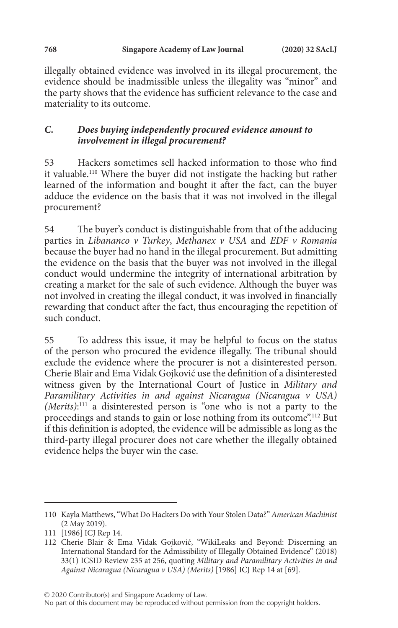illegally obtained evidence was involved in its illegal procurement, the evidence should be inadmissible unless the illegality was "minor" and the party shows that the evidence has sufficient relevance to the case and materiality to its outcome.

# *C. Does buying independently procured evidence amount to involvement in illegal procurement?*

53 Hackers sometimes sell hacked information to those who find it valuable.110 Where the buyer did not instigate the hacking but rather learned of the information and bought it after the fact, can the buyer adduce the evidence on the basis that it was not involved in the illegal procurement?

54 The buyer's conduct is distinguishable from that of the adducing parties in *Libananco v Turkey*, *Methanex v USA* and *EDF v Romania* because the buyer had no hand in the illegal procurement. But admitting the evidence on the basis that the buyer was not involved in the illegal conduct would undermine the integrity of international arbitration by creating a market for the sale of such evidence. Although the buyer was not involved in creating the illegal conduct, it was involved in financially rewarding that conduct after the fact, thus encouraging the repetition of such conduct.

55 To address this issue, it may be helpful to focus on the status of the person who procured the evidence illegally. The tribunal should exclude the evidence where the procurer is not a disinterested person. Cherie Blair and Ema Vidak Gojković use the definition of a disinterested witness given by the International Court of Justice in *Military and Paramilitary Activities in and against Nicaragua (Nicaragua v USA) (Merits)*: 111 a disinterested person is "one who is not a party to the proceedings and stands to gain or lose nothing from its outcome".112 But if this definition is adopted, the evidence will be admissible as long as the third-party illegal procurer does not care whether the illegally obtained evidence helps the buyer win the case.

© 2020 Contributor(s) and Singapore Academy of Law.

<sup>110</sup> Kayla Matthews, "What Do Hackers Do with Your Stolen Data?" *American Machinist* (2 May 2019).

<sup>111</sup> [1986] ICJ Rep 14.

<sup>112</sup> Cherie Blair & Ema Vidak Gojković, "WikiLeaks and Beyond: Discerning an International Standard for the Admissibility of Illegally Obtained Evidence" (2018) 33(1) ICSID Review 235 at 256, quoting *Military and Paramilitary Activities in and Against Nicaragua (Nicaragua v USA) (Merits)* [1986] ICJ Rep 14 at [69].

No part of this document may be reproduced without permission from the copyright holders.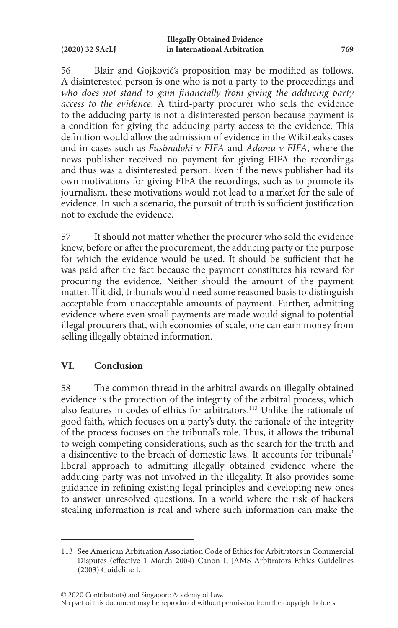56 Blair and Gojković's proposition may be modified as follows. A disinterested person is one who is not a party to the proceedings and *who does not stand to gain financially from giving the adducing party access to the evidence*. A third-party procurer who sells the evidence to the adducing party is not a disinterested person because payment is a condition for giving the adducing party access to the evidence. This definition would allow the admission of evidence in the WikiLeaks cases and in cases such as *Fusimalohi v FIFA* and *Adamu v FIFA*, where the news publisher received no payment for giving FIFA the recordings and thus was a disinterested person. Even if the news publisher had its own motivations for giving FIFA the recordings, such as to promote its journalism, these motivations would not lead to a market for the sale of evidence. In such a scenario, the pursuit of truth is sufficient justification not to exclude the evidence.

57 It should not matter whether the procurer who sold the evidence knew, before or after the procurement, the adducing party or the purpose for which the evidence would be used. It should be sufficient that he was paid after the fact because the payment constitutes his reward for procuring the evidence. Neither should the amount of the payment matter. If it did, tribunals would need some reasoned basis to distinguish acceptable from unacceptable amounts of payment. Further, admitting evidence where even small payments are made would signal to potential illegal procurers that, with economies of scale, one can earn money from selling illegally obtained information.

# **VI. Conclusion**

58 The common thread in the arbitral awards on illegally obtained evidence is the protection of the integrity of the arbitral process, which also features in codes of ethics for arbitrators.113 Unlike the rationale of good faith, which focuses on a party's duty, the rationale of the integrity of the process focuses on the tribunal's role. Thus, it allows the tribunal to weigh competing considerations, such as the search for the truth and a disincentive to the breach of domestic laws. It accounts for tribunals' liberal approach to admitting illegally obtained evidence where the adducing party was not involved in the illegality. It also provides some guidance in refining existing legal principles and developing new ones to answer unresolved questions. In a world where the risk of hackers stealing information is real and where such information can make the

<sup>113</sup> See American Arbitration Association Code of Ethics for Arbitrators in Commercial Disputes (effective 1 March 2004) Canon I; JAMS Arbitrators Ethics Guidelines (2003) Guideline I.